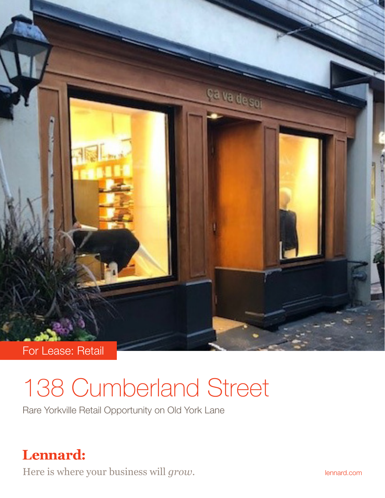

## 138 Cumberland Street

Rare Yorkville Retail Opportunity on Old York Lane

## **Lennard:**

Here is where your business will *grow*. **If all all and the lennard.com**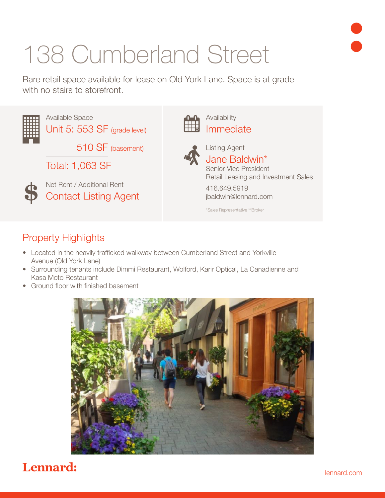# 138 Cumberland Street

Rare retail space available for lease on Old York Lane. Space is at grade with no stairs to storefront.



#### Property Highlights

- Located in the heavily trafficked walkway between Cumberland Street and Yorkville Avenue (Old York Lane)
- Surrounding tenants include Dimmi Restaurant, Wolford, Karir Optical, La Canadienne and Kasa Moto Restaurant
- Ground floor with finished basement



### Lennard: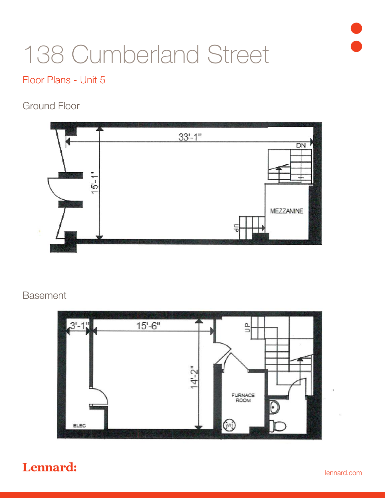

## 138 Cumberland Street

#### Floor Plans - Unit 5

#### Ground Floor



#### Basement



### Lennard: